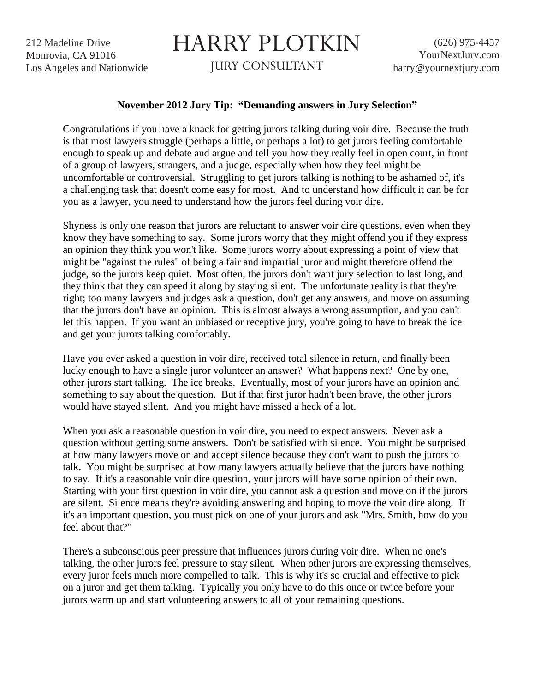212 Madeline Drive Monrovia, CA 91016 Los Angeles and Nationwide

## HARRY PLOTKIN

JURY CONSULTANT

## **November 2012 Jury Tip: "Demanding answers in Jury Selection"**

Congratulations if you have a knack for getting jurors talking during voir dire. Because the truth is that most lawyers struggle (perhaps a little, or perhaps a lot) to get jurors feeling comfortable enough to speak up and debate and argue and tell you how they really feel in open court, in front of a group of lawyers, strangers, and a judge, especially when how they feel might be uncomfortable or controversial. Struggling to get jurors talking is nothing to be ashamed of, it's a challenging task that doesn't come easy for most. And to understand how difficult it can be for you as a lawyer, you need to understand how the jurors feel during voir dire.

Shyness is only one reason that jurors are reluctant to answer voir dire questions, even when they know they have something to say. Some jurors worry that they might offend you if they express an opinion they think you won't like. Some jurors worry about expressing a point of view that might be "against the rules" of being a fair and impartial juror and might therefore offend the judge, so the jurors keep quiet. Most often, the jurors don't want jury selection to last long, and they think that they can speed it along by staying silent. The unfortunate reality is that they're right; too many lawyers and judges ask a question, don't get any answers, and move on assuming that the jurors don't have an opinion. This is almost always a wrong assumption, and you can't let this happen. If you want an unbiased or receptive jury, you're going to have to break the ice and get your jurors talking comfortably.

Have you ever asked a question in voir dire, received total silence in return, and finally been lucky enough to have a single juror volunteer an answer? What happens next? One by one, other jurors start talking. The ice breaks. Eventually, most of your jurors have an opinion and something to say about the question. But if that first juror hadn't been brave, the other jurors would have stayed silent. And you might have missed a heck of a lot.

When you ask a reasonable question in voir dire, you need to expect answers. Never ask a question without getting some answers. Don't be satisfied with silence. You might be surprised at how many lawyers move on and accept silence because they don't want to push the jurors to talk. You might be surprised at how many lawyers actually believe that the jurors have nothing to say. If it's a reasonable voir dire question, your jurors will have some opinion of their own. Starting with your first question in voir dire, you cannot ask a question and move on if the jurors are silent. Silence means they're avoiding answering and hoping to move the voir dire along. If it's an important question, you must pick on one of your jurors and ask "Mrs. Smith, how do you feel about that?"

There's a subconscious peer pressure that influences jurors during voir dire. When no one's talking, the other jurors feel pressure to stay silent. When other jurors are expressing themselves, every juror feels much more compelled to talk. This is why it's so crucial and effective to pick on a juror and get them talking. Typically you only have to do this once or twice before your jurors warm up and start volunteering answers to all of your remaining questions.